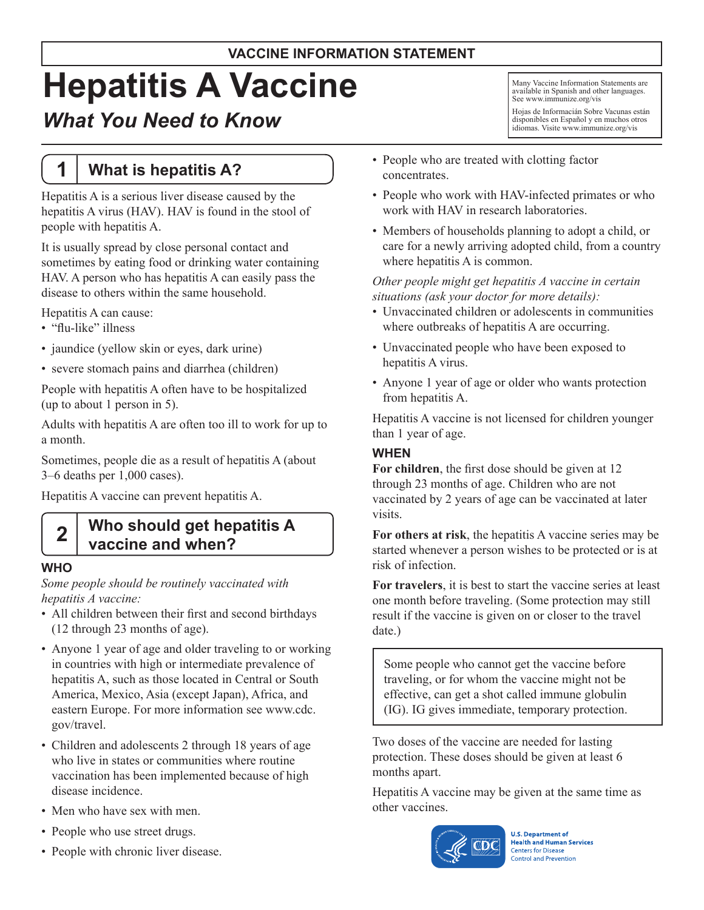#### **VACCINE INFORMATION STATEMENT**

# **Hepatitis A Vaccine**

# *What You Need to Know*

# **1 What is hepatitis A?**

Hepatitis A is a serious liver disease caused by the hepatitis A virus (HAV). HAV is found in the stool of people with hepatitis A.

It is usually spread by close personal contact and sometimes by eating food or drinking water containing HAV. A person who has hepatitis A can easily pass the disease to others within the same household.

Hepatitis A can cause:

- "flu-like" illness
- jaundice (yellow skin or eyes, dark urine)
- severe stomach pains and diarrhea (children)

People with hepatitis A often have to be hospitalized (up to about 1 person in 5).

Adults with hepatitis A are often too ill to work for up to a month.

Sometimes, people die as a result of hepatitis A (about 3–6 deaths per 1,000 cases).

Hepatitis A vaccine can prevent hepatitis A.

# **2 Who should get hepatitis A vaccine and when?**

### **WHO**

*Some people should be routinely vaccinated with hepatitis A vaccine:*

- All children between their first and second birthdays (12 through 23 months of age).
- Anyone 1 year of age and older traveling to or working in countries with high or intermediate prevalence of hepatitis A, such as those located in Central or South America, Mexico, Asia (except Japan), Africa, and eastern Europe. For more information see [www.cdc.](http://www.cdc.gov/travel) [gov/travel.](http://www.cdc.gov/travel)
- Children and adolescents 2 through 18 years of age who live in states or communities where routine vaccination has been implemented because of high disease incidence.
- Men who have sex with men.
- People who use street drugs.
- People with chronic liver disease.
- People who are treated with clotting factor concentrates.
- People who work with HAV-infected primates or who work with HAV in research laboratories.

Many Vaccine Information Statements are available in Spanish and other languages. See [www.immunize.org/vis](http://www.immunize.org/vis)

Hojas de Informacián Sobre Vacunas están disponibles en Español y en muchos otros idiomas. Visite [www.immunize.org/vis](http://www.immunize.org/vis)

• Members of households planning to adopt a child, or care for a newly arriving adopted child, from a country where hepatitis A is common.

#### *Other people might get hepatitis A vaccine in certain situations (ask your doctor for more details):*

- Unvaccinated children or adolescents in communities where outbreaks of hepatitis A are occurring.
- • Unvaccinated people who have been exposed to hepatitis A virus.
- Anyone 1 year of age or older who wants protection from hepatitis A.

Hepatitis A vaccine is not licensed for children younger than 1 year of age.

#### **WHEN**

**For children**, the first dose should be given at 12 through 23 months of age. Children who are not vaccinated by 2 years of age can be vaccinated at later visits.

**For others at risk**, the hepatitis A vaccine series may be started whenever a person wishes to be protected or is at risk of infection.

**For travelers**, it is best to start the vaccine series at least one month before traveling. (Some protection may still result if the vaccine is given on or closer to the travel date.)

Some people who cannot get the vaccine before traveling, or for whom the vaccine might not be effective, can get a shot called immune globulin (IG). IG gives immediate, temporary protection.

Two doses of the vaccine are needed for lasting protection. These doses should be given at least 6 months apart.

Hepatitis A vaccine may be given at the same time as other vaccines.



**U.S. Department of Health and Human Services Centers for Disease Control and Prevention**